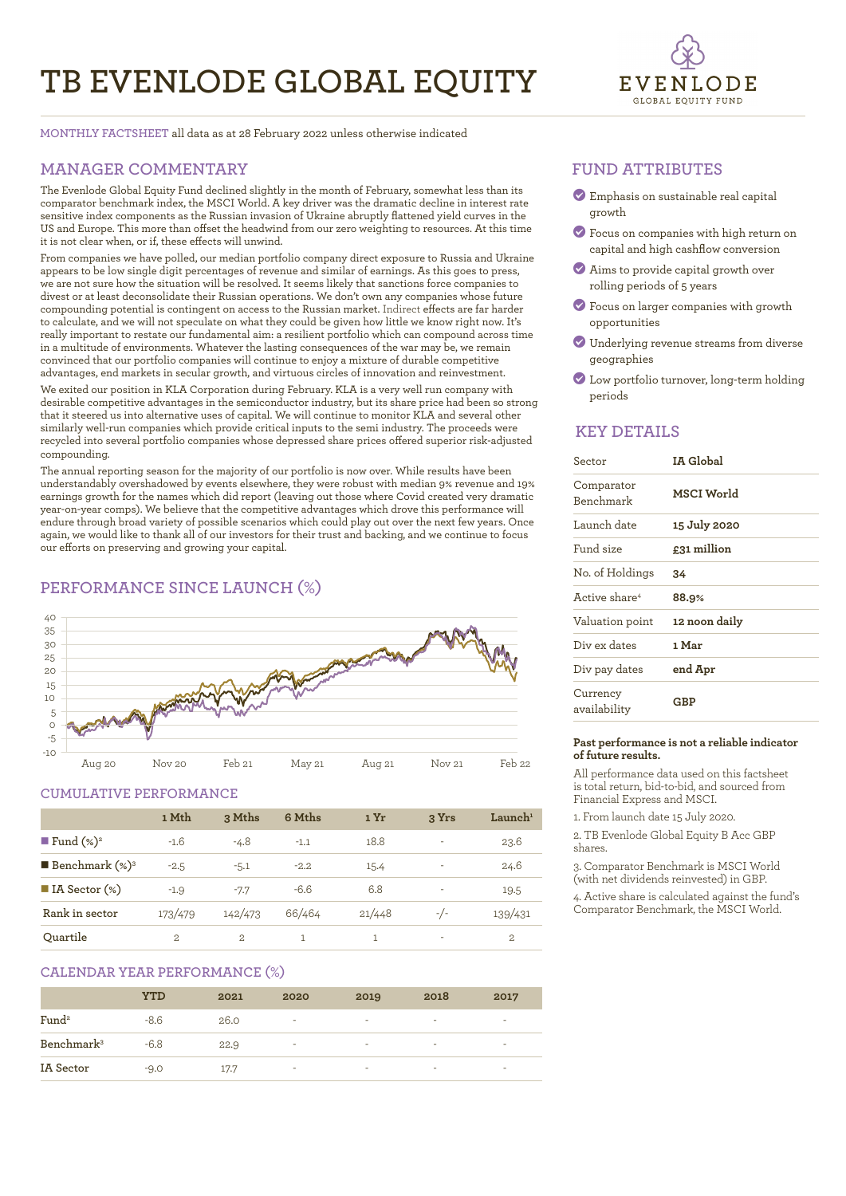# **TB EVENLODE GLOBAL EQUITY**



**MONTHLY FACTSHEET** all data as at 28 February 2022 unless otherwise indicated

# **MANAGER COMMENTARY**

The Evenlode Global Equity Fund declined slightly in the month of February, somewhat less than its comparator benchmark index, the MSCI World. A key driver was the dramatic decline in interest rate sensitive index components as the Russian invasion of Ukraine abruptly flattened yield curves in the US and Europe. This more than offset the headwind from our zero weighting to resources. At this time it is not clear when, or if, these effects will unwind.

From companies we have polled, our median portfolio company direct exposure to Russia and Ukraine appears to be low single digit percentages of revenue and similar of earnings. As this goes to press, we are not sure how the situation will be resolved. It seems likely that sanctions force companies to divest or at least deconsolidate their Russian operations. We don't own any companies whose future compounding potential is contingent on access to the Russian market. Indirect effects are far harder to calculate, and we will not speculate on what they could be given how little we know right now. It's really important to restate our fundamental aim: a resilient portfolio which can compound across time in a multitude of environments. Whatever the lasting consequences of the war may be, we remain convinced that our portfolio companies will continue to enjoy a mixture of durable competitive advantages, end markets in secular growth, and virtuous circles of innovation and reinvestment.

We exited our position in KLA Corporation during February. KLA is a very well run company with desirable competitive advantages in the semiconductor industry, but its share price had been so strong that it steered us into alternative uses of capital. We will continue to monitor KLA and several other similarly well-run companies which provide critical inputs to the semi industry. The proceeds were recycled into several portfolio companies whose depressed share prices offered superior risk-adjusted compounding.

The annual reporting season for the majority of our portfolio is now over. While results have been understandably overshadowed by events elsewhere, they were robust with median 9% revenue and 19% earnings growth for the names which did report (leaving out those where Covid created very dramatic year-on-year comps). We believe that the competitive advantages which drove this performance will endure through broad variety of possible scenarios which could play out over the next few years. Once again, we would like to thank all of our investors for their trust and backing, and we continue to focus our efforts on preserving and growing your capital. 

# **PERFORMANCE SINCE LAUNCH (%)**



### **CUMULATIVE PERFORMANCE**

|                                 | 1 Mth   | 3 Mths         | 6 Mths | 1 Yr   | 3 Yrs | $L$ aunch <sup>1</sup> |
|---------------------------------|---------|----------------|--------|--------|-------|------------------------|
| <b>Fund</b> $(\%)^2$            | $-1.6$  | $-4.8$         | $-1.1$ | 18.8   | ٠     | 23.6                   |
| <b>Benchmark</b> $(\%)^3$       | $-2.5$  | $-5.1$         | $-2.2$ | 15.4   | ۰     | 24.6                   |
| $\blacksquare$ IA Sector $(\%)$ | $-1.9$  | $-7.7$         | $-6.6$ | 6.8    | ٠     | 19.5                   |
| Rank in sector                  | 173/479 | 142/473        | 66/464 | 21/448 | $-/-$ | 139/431                |
| Ouartile                        | 2.      | $\mathfrak{D}$ |        |        | ۰     | $\overline{2}$         |

# **CALENDAR YEAR PERFORMANCE (%)**

|                        | YTD    | 2021 | 2020 | 2019                     | 2018                     | 2017                     |
|------------------------|--------|------|------|--------------------------|--------------------------|--------------------------|
| Fund <sup>2</sup>      | $-8.6$ | 26.0 | ٠    | $\overline{\phantom{a}}$ | $\overline{\phantom{a}}$ | $\overline{\phantom{a}}$ |
| Benchmark <sup>3</sup> | $-6.8$ | 22.9 | ۰    | ۰                        | ۰                        | -                        |
| IA Sector              | $-9.0$ | 17.7 | ٠    | ۰                        | -                        | ۰                        |

### **FUND ATTRIBUTES**

- ? Emphasis on sustainable real capital growth
- ? Focus on companies with high return on capital and high cashflow conversion
- ? Aims to provide capital growth over rolling periods of 5 years
- ? Focus on larger companies with growth opportunities
- ? Underlying revenue streams from diverse geographies
- ? Low portfolio turnover, long-term holding periods

# **KEY DETAILS**

| Sector                         | IA Global     |
|--------------------------------|---------------|
| Comparator<br><b>Benchmark</b> | MSCI World    |
| Launch date                    | 15 July 2020  |
| Fund size                      | £31 million   |
| No. of Holdings                | 34            |
| Active share <sup>4</sup>      | 88.9%         |
| Valuation point                | 12 noon daily |
| Div ex dates                   | 1 Mar         |
| Div pay dates                  | end Apr       |
| Currency<br>availability       | GBP           |

#### **Past performance is not a reliable indicator of future results.**

All performance data used on this factsheet is total return, bid-to-bid, and sourced from Financial Express and MSCI.

1. From launch date 15 July 2020.

2. TB Evenlode Global Equity B Acc GBP shares.

3. Comparator Benchmark is MSCI World (with net dividends reinvested) in GBP.

4. Active share is calculated against the fund's Comparator Benchmark, the MSCI World.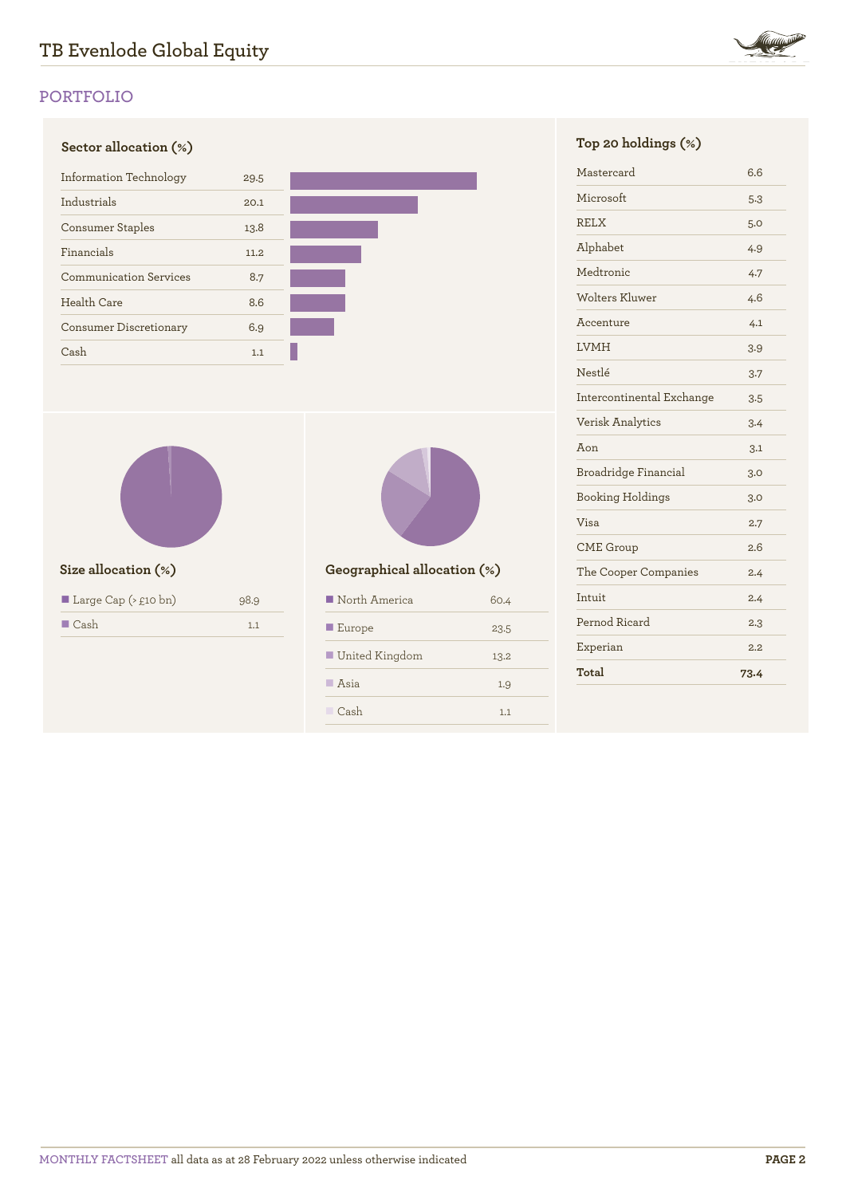

# **PORTFOLIO**





| Large Cap ( $\geq$ £10 bn) | 98.9 |
|----------------------------|------|
| $\blacksquare$ Cash        | 1.1  |



# **Size allocation (%) Geographical allocation (%)**

| North America         | 60.4 |
|-----------------------|------|
| $\blacksquare$ Europe | 23.5 |
| ■ United Kingdom      | 13.2 |
| $\Box$ Asia           | 1.9  |
| Cash                  | 1.1  |

| Mastercard                | 6.6  |
|---------------------------|------|
| Microsoft                 | 5.3  |
| <b>RELX</b>               | 5.0  |
| Alphabet                  | 4.9  |
| Medtronic                 | 4.7  |
| <b>Wolters Kluwer</b>     | 4.6  |
| Accenture                 | 4.1  |
| <b>LVMH</b>               | 3.9  |
| Nestlé                    | 3.7  |
| Intercontinental Exchange | 3.5  |
| Verisk Analytics          | 3.4  |
| $A$ on                    | 3.1  |
| Broadridge Financial      | 3.0  |
| <b>Booking Holdings</b>   | 3.0  |
| Visa                      | 2.7  |
| <b>CME</b> Group          | 2.6  |
| The Cooper Companies      | 2.4  |
| Intuit                    | 2.4  |
| Pernod Ricard             | 2.3  |
| Experian                  | 2.2  |
| Total                     | 73.4 |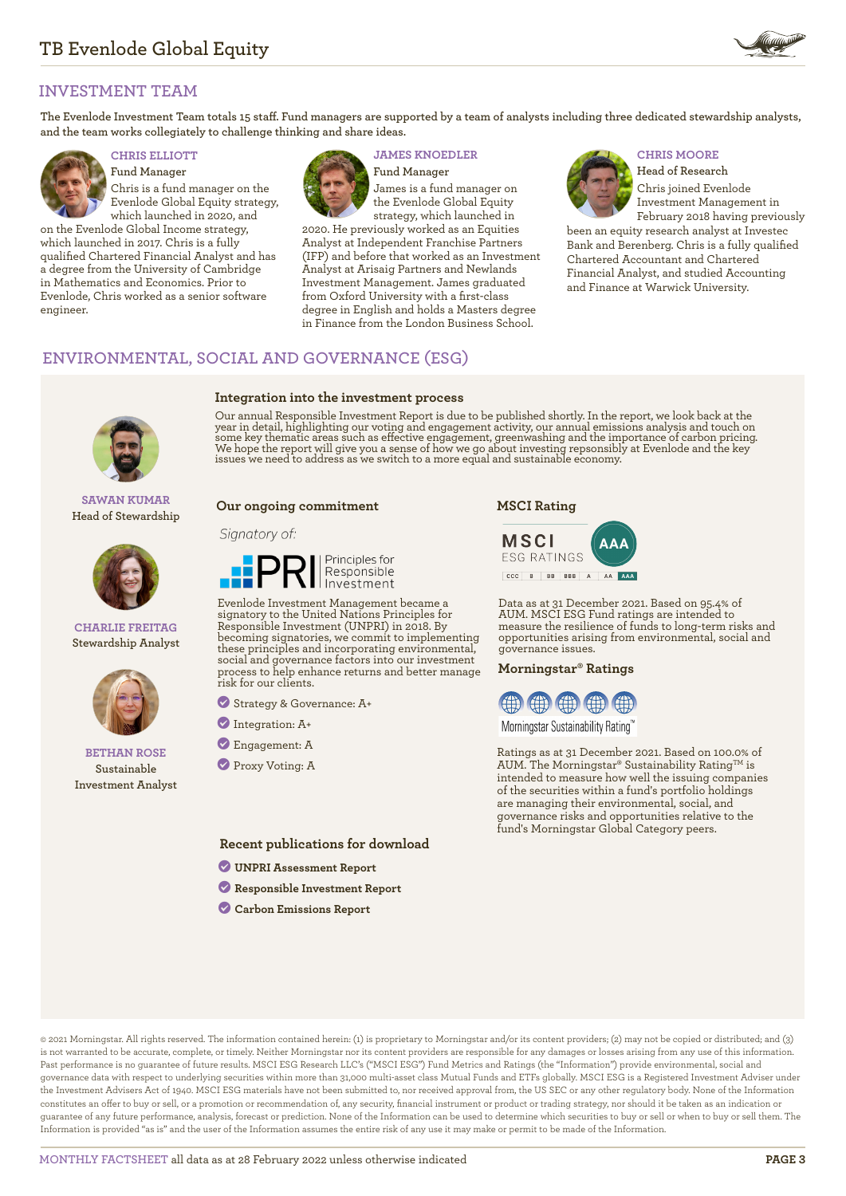

# **INVESTMENT TEAM**

**The Evenlode Investment Team totals 15 staff. Fund managers are supported by a team of analysts including three dedicated stewardship analysts, and the team works collegiately to challenge thinking and share ideas.**



**Fund Manager** Chris is a fund manager on the Evenlode Global Equity strategy, which launched in 2020, and

on the Evenlode Global Income strategy, which launched in 2017. Chris is a fully qualified Chartered Financial Analyst and has a degree from the University of Cambridge in Mathematics and Economics. Prior to Evenlode, Chris worked as a senior software engineer.



**Integration into the investment process**

# **CHRIS ELLIOTT JAMES KNOEDLER CHRIS MOORE**

**Fund Manager** James is a fund manager on the Evenlode Global Equity strategy, which launched in

2020. He previously worked as an Equities Analyst at Independent Franchise Partners (IFP) and before that worked as an Investment Analyst at Arisaig Partners and Newlands Investment Management. James graduated from Oxford University with a first-class degree in English and holds a Masters degree in Finance from the London Business School.



**Head of Research** Chris joined Evenlode Investment Management in February 2018 having previously

been an equity research analyst at Investec Bank and Berenberg. Chris is a fully qualified Chartered Accountant and Chartered Financial Analyst, and studied Accounting and Finance at Warwick University.

# **ENVIRONMENTAL, SOCIAL AND GOVERNANCE (ESG)**



**SAWAN KUMAR Head of Stewardship**



#### **CHARLIE FREITAG Stewardship Analyst**



### **BETHAN ROSE Sustainable Investment Analyst**

Our annual Responsible Investment Report is due to be published shortly. In the report, we look back at the year in detail, highlighting our voting and engagement activity, our annual emissions analysis and touch on some key thematic areas such as effective engagement, greenwashing and the importance of carbon pricing.<br>We hope the report will give you a sense of how we go about investing repsonsibly at Evenlode and the key<br>issues we n

#### **Our ongoing commitment**

#### Signatory of:



Evenlode Investment Management became a signatory to the United Nations Principles for Responsible Investment (UNPRI) in 2018. By becoming signatories, we commit to implementing these principles and incorporating environmental, social and governance factors into our investment process to help enhance returns and better manage risk for our clients.

? Strategy & Governance: A+

- ? Integration: A+
- ? Engagement: A

? Proxy Voting: A

**Recent publications for download**

- ? **[UNPRI Assessment Report](https://evenlodeinvestment.com/resources/stewardship-assets/2020-Assessment-Report.pdf)**
- ? **[Responsible Investment Report](https://evenlodeinvestment.com/resources/stewardship-assets/Evenlode-Annual-RI-Report-2020-Final.pdf)**
- ? **[Carbon Emissions Report](https://evenlodeinvestment.com/resources/stewardship-assets/Evenlode-Portfolio-Carbon-Emissions-Report-2021.pdf)**

# **MSCI Rating**



Data as at 31 December 2021. Based on 95.4% of AUM. MSCI ESG Fund ratings are intended to measure the resilience of funds to long-term risks and opportunities arising from environmental, social and governance issues.

#### **Morningstar® Ratings**



Morningstar Sustainability Rating<sup>®</sup>

Ratings as at 31 December 2021. Based on 100.0% of AUM. The Morningstar® Sustainability Rating™ is intended to measure how well the issuing companies of the securities within a fund's portfolio holdings are managing their environmental, social, and governance risks and opportunities relative to the fund's Morningstar Global Category peers.

© 2021 Morningstar. All rights reserved. The information contained herein: (1) is proprietary to Morningstar and/or its content providers; (2) may not be copied or distributed; and (3) is not warranted to be accurate, complete, or timely. Neither Morningstar nor its content providers are responsible for any damages or losses arising from any use of this information. Past performance is no guarantee of future results. MSCI ESG Research LLC's ("MSCI ESG") Fund Metrics and Ratings (the "Information") provide environmental, social and governance data with respect to underlying securities within more than 31,000 multi-asset class Mutual Funds and ETFs globally. MSCI ESG is a Registered Investment Adviser under the Investment Advisers Act of 1940. MSCI ESG materials have not been submitted to, nor received approval from, the US SEC or any other regulatory body. None of the Information constitutes an offer to buy or sell, or a promotion or recommendation of, any security, financial instrument or product or trading strategy, nor should it be taken as an indication or guarantee of any future performance, analysis, forecast or prediction. None of the Information can be used to determine which securities to buy or sell or when to buy or sell them. The Information is provided "as is" and the user of the Information assumes the entire risk of any use it may make or permit to be made of the Information.